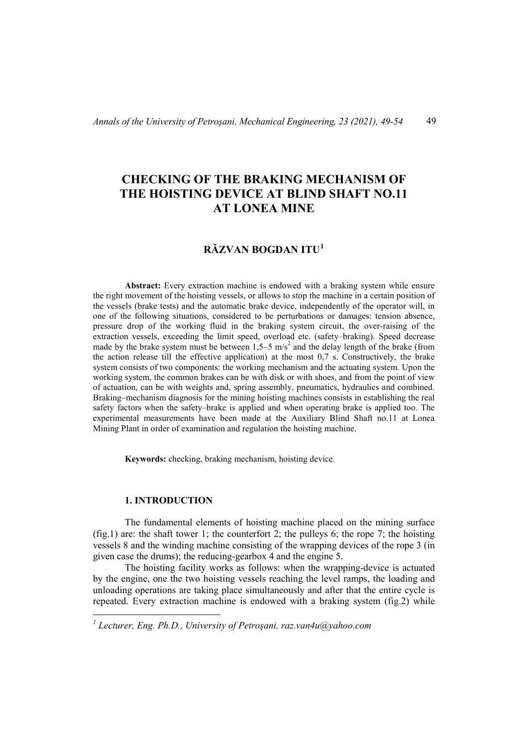# **CHECKING OF THE BRAKING MECHANISM OF THE HOISTING DEVICE AT BLIND SHAFT NO.11 AT LONEA MINE**

# **RĂZVAN BOGDAN ITU[1](#page-0-0)**

**Abstract:** Every extraction machine is endowed with a braking system while ensure the right movement of the hoisting vessels, or allows to stop the machine in a certain position of the vessels (brake tests) and the automatic brake device, independently of the operator will, in one of the following situations, considered to be perturbations or damages: tension absence, pressure drop of the working fluid in the braking system circuit, the over-raising of the extraction vessels, exceeding the limit speed, overload etc. (safety–braking). Speed decrease made by the brake system must be between  $1,5-5$  m/s<sup>2</sup> and the delay length of the brake (from the action release till the effective application) at the most 0,7 s. Constructively, the brake system consists of two components: the working mechanism and the actuating system. Upon the working system, the common brakes can be with disk or with shoes, and from the point of view of actuation, can be with weights and, spring assembly, pneumatics, hydraulics and combined. Braking–mechanism diagnosis for the mining hoisting machines consists in establishing the real safety factors when the safety–brake is applied and when operating brake is applied too. The experimental measurements have been made at the Auxiliary Blind Shaft no.11 at Lonea Mining Plant in order of examination and regulation the hoisting machine.

**Keywords:** checking, braking mechanism, hoisting device.

#### **1. INTRODUCTION**

The fundamental elements of hoisting machine placed on the mining surface (fig.1) are: the shaft tower 1; the counterfort 2; the pulleys 6; the rope 7; the hoisting vessels 8 and the winding machine consisting of the wrapping devices of the rope 3 (in given case the drums); the reducing-gearbox 4 and the engine 5.

The hoisting facility works as follows: when the wrapping-device is actuated by the engine, one the two hoisting vessels reaching the level ramps, the loading and unloading operations are taking place simultaneously and after that the entire cycle is repeated. Every extraction machine is endowed with a braking system (fig.2) while

<span id="page-0-0"></span>*<sup>1</sup> Lecturer, Eng. Ph.D., University of Petroşani, raz.van4u@yahoo.com*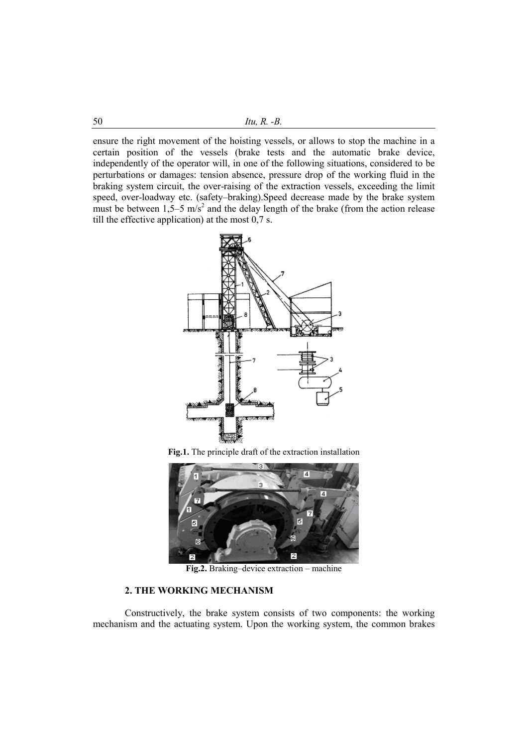ensure the right movement of the hoisting vessels, or allows to stop the machine in a certain position of the vessels (brake tests and the automatic brake device, independently of the operator will, in one of the following situations, considered to be perturbations or damages: tension absence, pressure drop of the working fluid in the braking system circuit, the over-raising of the extraction vessels, exceeding the limit speed, over-loadway etc. (safety–braking).Speed decrease made by the brake system must be between  $1,5-5$  m/s<sup>2</sup> and the delay length of the brake (from the action release till the effective application) at the most 0,7 s.



**Fig.1.** The principle draft of the extraction installation



**Fig.2.** Braking–device extraction – machine

## **2. THE WORKING MECHANISM**

Constructively, the brake system consists of two components: the working mechanism and the actuating system. Upon the working system, the common brakes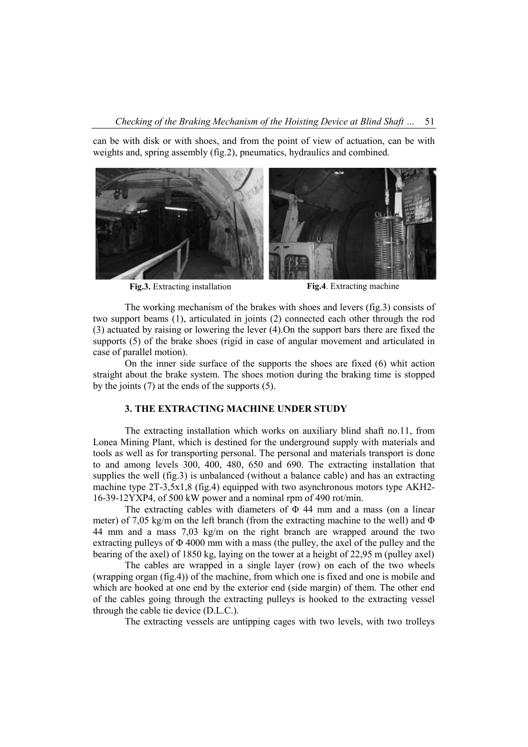can be with disk or with shoes, and from the point of view of actuation, can be with weights and, spring assembly (fig.2), pneumatics, hydraulics and combined.



**Fig.3.** Extracting installation **Fig.4**. Extracting machine

The working mechanism of the brakes with shoes and levers (fig.3) consists of two support beams (1), articulated in joints (2) connected each other through the rod (3) actuated by raising or lowering the lever (4).On the support bars there are fixed the supports (5) of the brake shoes (rigid in case of angular movement and articulated in case of parallel motion).

On the inner side surface of the supports the shoes are fixed (6) whit action straight about the brake system. The shoes motion during the braking time is stopped by the joints (7) at the ends of the supports (5).

#### **3. THE EXTRACTING MACHINE UNDER STUDY**

The extracting installation which works on auxiliary blind shaft no.11, from Lonea Mining Plant, which is destined for the underground supply with materials and tools as well as for transporting personal. The personal and materials transport is done to and among levels 300, 400, 480, 650 and 690. The extracting installation that supplies the well (fig.3) is unbalanced (without a balance cable) and has an extracting machine type 2T-3,5x1,8 (fig.4) equipped with two asynchronous motors type AKH2- 16-39-12YXP4, of 500 kW power and a nominal rpm of 490 rot/min.

The extracting cables with diameters of  $\Phi$  44 mm and a mass (on a linear meter) of 7,05 kg/m on the left branch (from the extracting machine to the well) and  $\Phi$ 44 mm and a mass 7,03 kg/m on the right branch are wrapped around the two extracting pulleys of  $\Phi$  4000 mm with a mass (the pulley, the axel of the pulley and the bearing of the axel) of 1850 kg, laying on the tower at a height of 22,95 m (pulley axel)

The cables are wrapped in a single layer (row) on each of the two wheels (wrapping organ (fig.4)) of the machine, from which one is fixed and one is mobile and which are hooked at one end by the exterior end (side margin) of them. The other end of the cables going through the extracting pulleys is hooked to the extracting vessel through the cable tie device (D.L.C.).

The extracting vessels are untipping cages with two levels, with two trolleys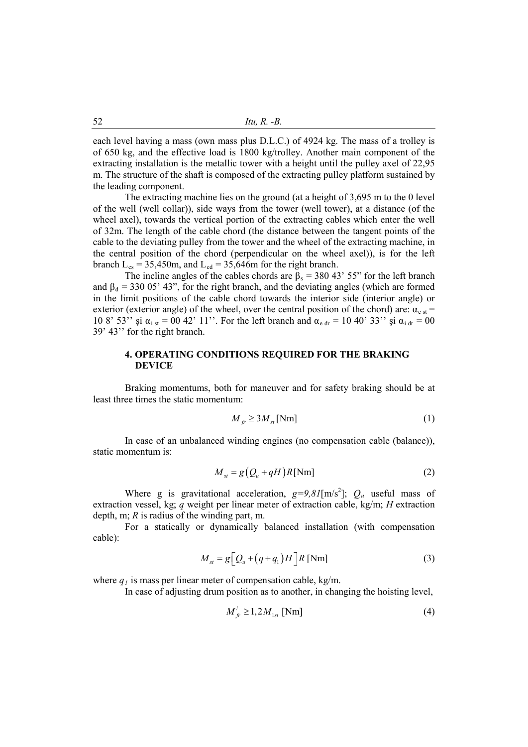each level having a mass (own mass plus D.L.C.) of 4924 kg. The mass of a trolley is of 650 kg, and the effective load is 1800 kg/trolley. Another main component of the extracting installation is the metallic tower with a height until the pulley axel of 22,95 m. The structure of the shaft is composed of the extracting pulley platform sustained by the leading component.

The extracting machine lies on the ground (at a height of 3,695 m to the 0 level of the well (well collar)), side ways from the tower (well tower), at a distance (of the wheel axel), towards the vertical portion of the extracting cables which enter the well of 32m. The length of the cable chord (the distance between the tangent points of the cable to the deviating pulley from the tower and the wheel of the extracting machine, in the central position of the chord (perpendicular on the wheel axel)), is for the left branch  $L_{cs} = 35,450$ m, and  $L_{cd} = 35,646$ m for the right branch.

The incline angles of the cables chords are  $\beta_s = 380.43$ ' 55" for the left branch and  $\beta_d = 33005'$  43", for the right branch, and the deviating angles (which are formed in the limit positions of the cable chord towards the interior side (interior angle) or exterior (exterior angle) of the wheel, over the central position of the chord) are:  $\alpha_{e st}$  = 10 8' 53'' şi  $\alpha_{i st} = 0042'$  11''. For the left branch and  $\alpha_{e dr} = 1040'$  33'' şi  $\alpha_{i dr} = 00$ 39' 43'' for the right branch.

# **4. OPERATING CONDITIONS REQUIRED FOR THE BRAKING DEVICE**

Braking momentums, both for maneuver and for safety braking should be at least three times the static momentum:

$$
M_{f'} \ge 3M_{st} \text{[Nm]}
$$
 (1)

In case of an unbalanced winding engines (no compensation cable (balance)), static momentum is:

$$
M_{st} = g(Q_u + qH)R[\text{Nm}]
$$
 (2)

Where g is gravitational acceleration,  $g=9.8I$ [m/s<sup>2</sup>];  $Q_u$  useful mass of extraction vessel, kg; *q* weight per linear meter of extraction cable, kg/m; *H* extraction depth, m; *R* is radius of the winding part, m.

For a statically or dynamically balanced installation (with compensation cable):

$$
M_{st} = g \left[ Q_u + (q + q_1)H \right] R \text{ [Nm]}
$$
 (3)

where  $q_l$  is mass per linear meter of compensation cable, kg/m.

In case of adjusting drum position as to another, in changing the hoisting level,

$$
M'_{f'} \ge 1, 2M_{1st} \text{ [Nm]} \tag{4}
$$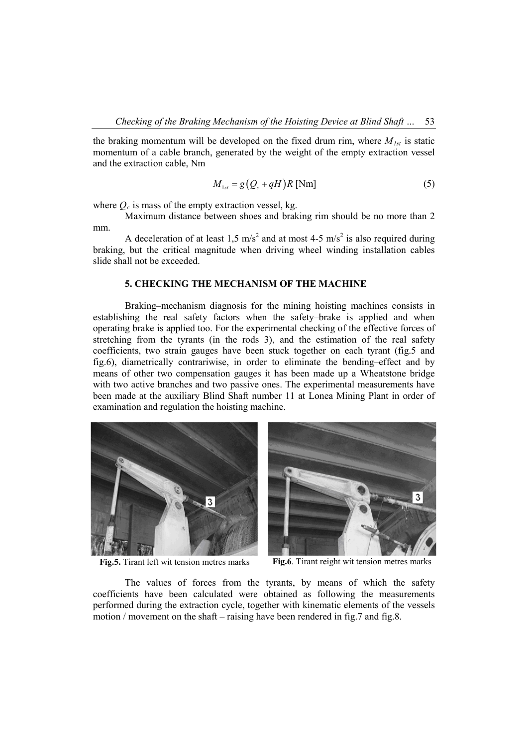the braking momentum will be developed on the fixed drum rim, where  $M_{1st}$  is static momentum of a cable branch, generated by the weight of the empty extraction vessel and the extraction cable, Nm

$$
M_{1st} = g(Q_c + qH)R \text{ [Nm]}
$$
 (5)

where  $Q_c$  is mass of the empty extraction vessel, kg.

Maximum distance between shoes and braking rim should be no more than 2 mm.

A deceleration of at least 1,5 m/s<sup>2</sup> and at most 4-5 m/s<sup>2</sup> is also required during braking, but the critical magnitude when driving wheel winding installation cables slide shall not be exceeded.

## **5. CHECKING THE MECHANISM OF THE MACHINE**

Braking–mechanism diagnosis for the mining hoisting machines consists in establishing the real safety factors when the safety–brake is applied and when operating brake is applied too. For the experimental checking of the effective forces of stretching from the tyrants (in the rods 3), and the estimation of the real safety coefficients, two strain gauges have been stuck together on each tyrant (fig.5 and fig.6), diametrically contrariwise, in order to eliminate the bending–effect and by means of other two compensation gauges it has been made up a Wheatstone bridge with two active branches and two passive ones. The experimental measurements have been made at the auxiliary Blind Shaft number 11 at Lonea Mining Plant in order of examination and regulation the hoisting machine.





**Fig.5.** Tirant left wit tension metres marks **Fig.6**. Tirant reight wit tension metres marks

The values of forces from the tyrants, by means of which the safety coefficients have been calculated were obtained as following the measurements performed during the extraction cycle, together with kinematic elements of the vessels motion / movement on the shaft – raising have been rendered in fig.7 and fig.8.